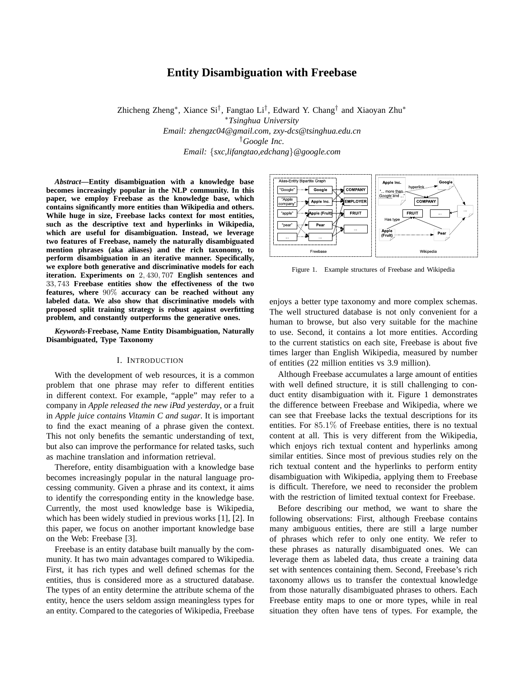# **Entity Disambiguation with Freebase**

Zhicheng Zheng<sup>∗</sup> , Xiance Si† , Fangtao Li† , Edward Y. Chang† and Xiaoyan Zhu<sup>∗</sup> <sup>∗</sup>*Tsinghua University Email: zhengzc04@gmail.com, zxy-dcs@tsinghua.edu.cn* †*Google Inc. Email:* {*sxc,lifangtao,edchang*}*@google.com*

*Abstract***—Entity disambiguation with a knowledge base becomes increasingly popular in the NLP community. In this paper, we employ Freebase as the knowledge base, which contains significantly more entities than Wikipedia and others. While huge in size, Freebase lacks context for most entities, such as the descriptive text and hyperlinks in Wikipedia, which are useful for disambiguation. Instead, we leverage two features of Freebase, namely the naturally disambiguated mention phrases (aka aliases) and the rich taxonomy, to perform disambiguation in an iterative manner. Specifically, we explore both generative and discriminative models for each iteration. Experiments on** <sup>2</sup>, <sup>430</sup>, <sup>707</sup> **English sentences and** <sup>33</sup>, <sup>743</sup> **Freebase entities show the effectiveness of the two features, where** 90% **accuracy can be reached without any labeled data. We also show that discriminative models with proposed split training strategy is robust against overfitting problem, and constantly outperforms the generative ones.**

*Keywords***-Freebase, Name Entity Disambiguation, Naturally Disambiguated, Type Taxonomy**

#### I. INTRODUCTION

With the development of web resources, it is a common problem that one phrase may refer to different entities in different context. For example, "apple" may refer to a company in *Apple released the new iPad yesterday*, or a fruit in *Apple juice contains Vitamin C and sugar*. It is important to find the exact meaning of a phrase given the context. This not only benefits the semantic understanding of text, but also can improve the performance for related tasks, such as machine translation and information retrieval.

Therefore, entity disambiguation with a knowledge base becomes increasingly popular in the natural language processing community. Given a phrase and its context, it aims to identify the corresponding entity in the knowledge base. Currently, the most used knowledge base is Wikipedia, which has been widely studied in previous works [1], [2]. In this paper, we focus on another important knowledge base on the Web: Freebase [3].

Freebase is an entity database built manually by the community. It has two main advantages compared to Wikipedia. First, it has rich types and well defined schemas for the entities, thus is considered more as a structured database. The types of an entity determine the attribute schema of the entity, hence the users seldom assign meaningless types for an entity. Compared to the categories of Wikipedia, Freebase



Figure 1. Example structures of Freebase and Wikipedia

enjoys a better type taxonomy and more complex schemas. The well structured database is not only convenient for a human to browse, but also very suitable for the machine to use. Second, it contains a lot more entities. According to the current statistics on each site, Freebase is about five times larger than English Wikipedia, measured by number of entities (22 million entities vs 3.9 million).

Although Freebase accumulates a large amount of entities with well defined structure, it is still challenging to conduct entity disambiguation with it. Figure 1 demonstrates the difference between Freebase and Wikipedia, where we can see that Freebase lacks the textual descriptions for its entities. For 85.1% of Freebase entities, there is no textual content at all. This is very different from the Wikipedia, which enjoys rich textual content and hyperlinks among similar entities. Since most of previous studies rely on the rich textual content and the hyperlinks to perform entity disambiguation with Wikipedia, applying them to Freebase is difficult. Therefore, we need to reconsider the problem with the restriction of limited textual context for Freebase.

Before describing our method, we want to share the following observations: First, although Freebase contains many ambiguous entities, there are still a large number of phrases which refer to only one entity. We refer to these phrases as naturally disambiguated ones. We can leverage them as labeled data, thus create a training data set with sentences containing them. Second, Freebase's rich taxonomy allows us to transfer the contextual knowledge from those naturally disambiguated phrases to others. Each Freebase entity maps to one or more types, while in real situation they often have tens of types. For example, the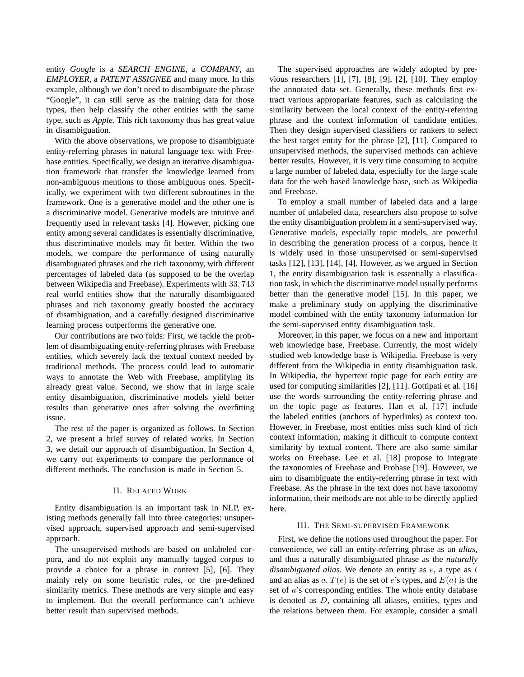entity *Google* is a *SEARCH ENGINE*, a *COMPANY*, an *EMPLOYER*, a *PATENT ASSIGNEE* and many more. In this example, although we don't need to disambiguate the phrase "Google", it can still serve as the training data for those types, then help classify the other entities with the same type, such as *Apple*. This rich taxonomy thus has great value in disambiguation.

With the above observations, we propose to disambiguate entity-referring phrases in natural language text with Freebase entities. Specifically, we design an iterative disambiguation framework that transfer the knowledge learned from non-ambiguous mentions to those ambiguous ones. Specifically, we experiment with two different subroutines in the framework. One is a generative model and the other one is a discriminative model. Generative models are intuitive and frequently used in relevant tasks [4]. However, picking one entity among several candidates is essentially discriminative, thus discriminative models may fit better. Within the two models, we compare the performance of using naturally disambiguated phrases and the rich taxonomy, with different percentages of labeled data (as supposed to be the overlap between Wikipedia and Freebase). Experiments with 33, 743 real world entities show that the naturally disambiguated phrases and rich taxonomy greatly boosted the accuracy of disambiguation, and a carefully designed discriminative learning process outperforms the generative one.

Our contributions are two folds: First, we tackle the problem of disambiguating entity-referring phrases with Freebase entities, which severely lack the textual context needed by traditional methods. The process could lead to automatic ways to annotate the Web with Freebase, amplifying its already great value. Second, we show that in large scale entity disambiguation, discriminative models yield better results than generative ones after solving the overfitting issue.

The rest of the paper is organized as follows. In Section 2, we present a brief survey of related works. In Section 3, we detail our approach of disambiguation. In Section 4, we carry out experiments to compare the performance of different methods. The conclusion is made in Section 5.

# II. RELATED WORK

Entity disambiguation is an important task in NLP, existing methods generally fall into three categories: unsupervised approach, supervised approach and semi-supervised approach.

The unsupervised methods are based on unlabeled corpora, and do not exploit any manually tagged corpus to provide a choice for a phrase in context [5], [6]. They mainly rely on some heuristic rules, or the pre-defined similarity metrics. These methods are very simple and easy to implement. But the overall performance can't achieve better result than supervised methods.

The supervised approaches are widely adopted by previous researchers [1], [7], [8], [9], [2], [10]. They employ the annotated data set. Generally, these methods first extract various appropariate features, such as calculating the similarity between the local context of the entity-referring phrase and the context information of candidate entities. Then they design supervised classifiers or rankers to select the best target entity for the phrase [2], [11]. Compared to unsupervised methods, the supervised methods can achieve better results. However, it is very time consuming to acquire a large number of labeled data, especially for the large scale data for the web based knowledge base, such as Wikipedia and Freebase.

To employ a small number of labeled data and a large number of unlabeled data, researchers also propose to solve the entity disambiguation problem in a semi-supervised way. Generative models, especially topic models, are powerful in describing the generation process of a corpus, hence it is widely used in those unsupervised or semi-supervised tasks [12], [13], [14], [4]. However, as we argued in Section 1, the entity disambiguation task is essentially a classification task, in which the discriminative model usually performs better than the generative model [15]. In this paper, we make a preliminary study on applying the discriminative model combined with the entity taxonomy information for the semi-supervised entity disambiguation task.

Moreover, in this paper, we focus on a new and important web knowledge base, Freebase. Currently, the most widely studied web knowledge base is Wikipedia. Freebase is very different from the Wikipedia in entity disambiguation task. In Wikipedia, the hypertext topic page for each entity are used for computing similarities [2], [11]. Gottipati et al. [16] use the words surrounding the entity-referring phrase and on the topic page as features. Han et al. [17] include the labeled entities (anchors of hyperlinks) as context too. However, in Freebase, most entities miss such kind of rich context information, making it difficult to compute context similarity by textual content. There are also some similar works on Freebase. Lee et al. [18] propose to integrate the taxonomies of Freebase and Probase [19]. However, we aim to disambiguate the entity-referring phrase in text with Freebase. As the phrase in the text does not have taxonomy information, their methods are not able to be directly applied here.

## III. THE SEMI-SUPERVISED FRAMEWORK

First, we define the notions used throughout the paper. For convenience, we call an entity-referring phrase as an *alias*, and thus a naturally disambiguated phrase as the *naturally disambiguated alias.* We denote an entity as e, a type as t and an alias as a.  $T(e)$  is the set of e's types, and  $E(a)$  is the set of a's corresponding entities. The whole entity database is denoted as D, containing all aliases, entities, types and the relations between them. For example, consider a small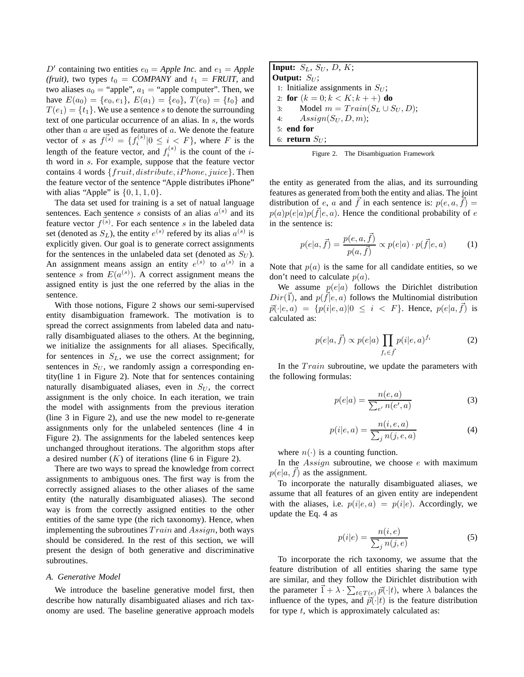D' containing two entities  $e_0 = Apple$  Inc. and  $e_1 = Apple$ *(fruit)*, two types  $t_0 = \text{COMPANY}$  and  $t_1 = \text{FRUIT}$ , and two aliases  $a_0$  = "apple",  $a_1$  = "apple computer". Then, we have  $E(a_0) = \{e_0, e_1\}$ ,  $E(a_1) = \{e_0\}$ ,  $T(e_0) = \{t_0\}$  and  $T(e_1) = \{t_1\}$ . We use a sentence s to denote the surrounding text of one particular occurrence of an alias. In s, the words other than  $a$  are used as features of  $a$ . We denote the feature vector of s as  $\vec{f}(s) = \{f_i^{(s)} | 0 \le i \le F\}$ , where F is the i length of the feature vector, and  $f_i^{(s)}$  is the count of the *i*th word in s. For example, suppose that the feature vector contains 4 words  $\{fruit, distribute, iPhone, juice\}$ . Then the feature vector of the sentence "Apple distributes iPhone" with alias "Apple" is  $\{0, 1, 1, 0\}$ .

The data set used for training is a set of natual language sentences. Each sentence s consists of an alias  $a^{(s)}$  and its feature vector  $\vec{f}(s)$ . For each sentence s in the labeled data set (denoted as  $S_L$ ), the entity  $e^{(s)}$  refered by its alias  $a^{(s)}$  is explicitly given. Our goal is to generate correct assignments for the sentences in the unlabeled data set (denoted as  $S_U$ ). An assignment means assign an entity  $e^{(s)}$  to  $a^{(s)}$  in a sentence s from  $E(a^{(s)})$ . A correct assignment means the assigned entity is just the one referred by the alias in the sentence.

With those notions, Figure 2 shows our semi-supervised entity disambiguation framework. The motivation is to spread the correct assignments from labeled data and naturally disambiguated aliases to the others. At the beginning, we initialize the assignments for all aliases. Specifically, for sentences in  $S_L$ , we use the correct assignment; for sentences in  $S_U$ , we randomly assign a corresponding entity(line 1 in Figure 2). Note that for sentences containing naturally disambiguated aliases, even in  $S_U$ , the correct assignment is the only choice. In each iteration, we train the model with assignments from the previous iteration (line 3 in Figure 2), and use the new model to re-generate assignments only for the unlabeled sentences (line 4 in Figure 2). The assignments for the labeled sentences keep unchanged throughout iterations. The algorithm stops after a desired number  $(K)$  of iterations (line 6 in Figure 2).

There are two ways to spread the knowledge from correct assignments to ambiguous ones. The first way is from the correctly assigned aliases to the other aliases of the same entity (the naturally disambiguated aliases). The second way is from the correctly assigned entities to the other entities of the same type (the rich taxonomy). Hence, when implementing the subroutines  $Train$  and  $Assign$ , both ways should be considered. In the rest of this section, we will present the design of both generative and discriminative subroutines.

#### *A. Generative Model*

We introduce the baseline generative model first, then describe how naturally disambiguated aliases and rich taxonomy are used. The baseline generative approach models

| <b>Input:</b> $S_L$ , $S_U$ , $D$ , $K$ ; |
|-------------------------------------------|
| <b>Output:</b> $S_U$ ;                    |
| 1: Initialize assignments in $S_U$ ;      |
| 2: for $(k = 0; k < K; k++)$ do           |
| 3: Model $m = Train(S_L \cup S_U, D);$    |
| 4: $Assign(S_U, D, m);$                   |
| $5:$ end for                              |
| 6: <b>return</b> $S_U$ ;                  |
|                                           |

Figure 2. The Disambiguation Framework

the entity as generated from the alias, and its surrounding features as generated from both the entity and alias. The joint distribution of e, a and  $\vec{f}$  in each sentence is:  $p(e, a, \vec{f}) =$  $p(a)p(e|a)p(\vec{f}|e, a)$ . Hence the conditional probability of e in the sentence is:

$$
p(e|a,\vec{f}) = \frac{p(e,a,\vec{f})}{p(a,\vec{f})} \propto p(e|a) \cdot p(\vec{f}|e,a)
$$
 (1)

Note that  $p(a)$  is the same for all candidate entities, so we don't need to calculate  $p(a)$ .

We assume  $p(e|a)$  follows the Dirichlet distribution  $Dir(\vec{1})$ , and  $p(\vec{f}|e, a)$  follows the Multinomial distribution  $\vec{p}(\cdot|e, a) = \{p(i|e, a)|0 \leq i \leq F\}$ . Hence,  $p(e|a, \vec{f})$  is calculated as:

$$
p(e|a, \vec{f}) \propto p(e|a) \prod_{f_i \in \vec{f}} p(i|e, a)^{f_i}
$$
 (2)

In the *Train* subroutine, we update the parameters with the following formulas:

$$
p(e|a) = \frac{n(e, a)}{\sum_{e'} n(e', a)}
$$
(3)

$$
p(i|e,a) = \frac{n(i,e,a)}{\sum_j n(j,e,a)}\tag{4}
$$

where  $n(\cdot)$  is a counting function.

In the  $Assign$  subroutine, we choose  $e$  with maximum  $p(e|a, \vec{f})$  as the assignment.

To incorporate the naturally disambiguated aliases, we assume that all features of an given entity are independent with the aliases, i.e.  $p(i|e, a) = p(i|e)$ . Accordingly, we update the Eq. 4 as

$$
p(i|e) = \frac{n(i,e)}{\sum_{j} n(j,e)}\tag{5}
$$

To incorporate the rich taxonomy, we assume that the feature distribution of all entities sharing the same type are similar, and they follow the Dirichlet distribution with the parameter  $\vec{1} + \lambda \cdot \sum_{t \in T(e)} \vec{p}(\cdot | t)$ , where  $\lambda$  balances the influence of the types, and  $\vec{p}(\cdot|t)$  is the feature distribution for type  $t$ , which is approximately calculated as: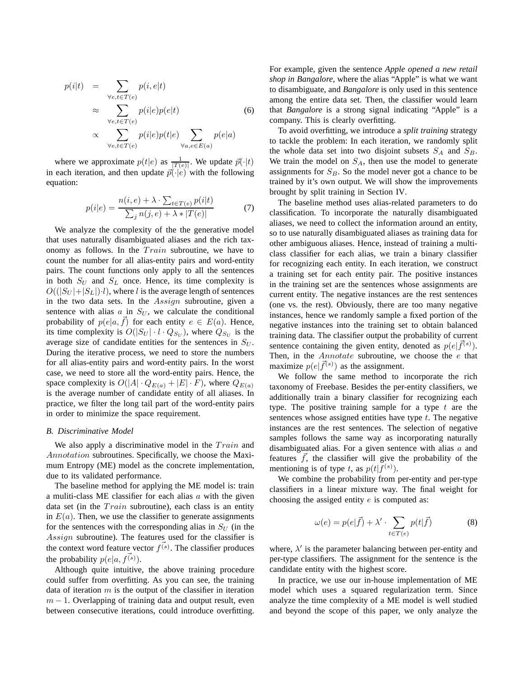$$
p(i|t) = \sum_{\forall e, t \in T(e)} p(i, e|t)
$$
  
\n
$$
\approx \sum_{\forall e, t \in T(e)} p(i|e)p(e|t)
$$
  
\n
$$
\propto \sum_{\forall e, t \in T(e)} p(i|e)p(t|e) \sum_{\forall a, e \in E(a)} p(e|a)
$$
 (6)

where we approximate  $p(t|e)$  as  $\frac{1}{|T(e)|}$ . We update  $\vec{p}(\cdot|t)$ in each iteration, and then update  $\vec{p}(\cdot|e)$  with the following equation:

$$
p(i|e) = \frac{n(i,e) + \lambda \cdot \sum_{t \in T(e)} p(i|t)}{\sum_{j} n(j,e) + \lambda * |T(e)|}
$$
(7)

We analyze the complexity of the the generative model that uses naturally disambiguated aliases and the rich taxonomy as follows. In the  $Train$  subroutine, we have to count the number for all alias-entity pairs and word-entity pairs. The count functions only apply to all the sentences in both  $S_U$  and  $S_L$  once. Hence, its time complexity is  $O((|S_U|+|S_L|) \cdot l)$ , where l is the average length of sentences in the two data sets. In the Assign subroutine, given a sentence with alias  $a$  in  $S_U$ , we calculate the conditional probability of  $p(e|a, f)$  for each entity  $e \in E(a)$ . Hence, its time complexity is  $O(|S_U| \cdot l \cdot Q_{S_U})$ , where  $Q_{S_U}$  is the average size of candidate entities for the sentences in  $S_U$ . During the iterative process, we need to store the numbers for all alias-entity pairs and word-entity pairs. In the worst case, we need to store all the word-entity pairs. Hence, the space complexity is  $O(|A| \cdot Q_{E(a)} + |E| \cdot F)$ , where  $Q_{E(a)}$ is the average number of candidate entity of all aliases. In practice, we filter the long tail part of the word-entity pairs in order to minimize the space requirement.

# *B. Discriminative Model*

We also apply a discriminative model in the  $Train$  and Annotation subroutines. Specifically, we choose the Maximum Entropy (ME) model as the concrete implementation, due to its validated performance.

The baseline method for applying the ME model is: train a muliti-class ME classifier for each alias  $a$  with the given data set (in the  $Train$  subroutine), each class is an entity in  $E(a)$ . Then, we use the classifier to generate assignments for the sentences with the corresponding alias in  $S_U$  (in the Assign subroutine). The features used for the classifier is the context word feature vector  $\vec{f(s)}$ . The classifier produces the probability  $p(e|a, f(\vec{s}))$ .

Although quite intuitive, the above training procedure could suffer from overfitting. As you can see, the training data of iteration  $m$  is the output of the classifier in iteration  $m - 1$ . Overlapping of training data and output result, even between consecutive iterations, could introduce overfitting. For example, given the sentence *Apple opened a new retail shop in Bangalore*, where the alias "Apple" is what we want to disambiguate, and *Bangalore* is only used in this sentence among the entire data set. Then, the classifier would learn that *Bangalore* is a strong signal indicating "Apple" is a company. This is clearly overfitting.

To avoid overfitting, we introduce a *split training* strategy to tackle the problem: In each iteration, we randomly split the whole data set into two disjoint subsets  $S_A$  and  $S_B$ . We train the model on  $S_A$ , then use the model to generate assignments for  $S_B$ . So the model never got a chance to be trained by it's own output. We will show the improvements brought by split training in Section IV.

The baseline method uses alias-related parameters to do classification. To incorporate the naturally disambiguated aliases, we need to collect the information around an entity, so to use naturally disambiguated aliases as training data for other ambiguous aliases. Hence, instead of training a multiclass classifier for each alias, we train a binary classifier for recognizing each entity. In each iteration, we construct a training set for each entity pair. The positive instances in the training set are the sentences whose assignments are current entity. The negative instances are the rest sentences (one vs. the rest). Obviously, there are too many negative instances, hence we randomly sample a fixed portion of the negative instances into the training set to obtain balanced training data. The classifier output the probability of current sentence containing the given entity, denoted as  $p(e|\vec{f}^{(s)})$ . Then, in the *Annotate* subroutine, we choose the *e* that maximize  $p(e|\vec{f}^{(s)})$  as the assignment.

We follow the same method to incorporate the rich taxonomy of Freebase. Besides the per-entity classifiers, we additionally train a binary classifier for recognizing each type. The positive training sample for a type  $t$  are the sentences whose assigned entities have type  $t$ . The negative instances are the rest sentences. The selection of negative samples follows the same way as incorporating naturally disambiguated alias. For a given sentence with alias a and features  $\overline{f}$ , the classifier will give the probability of the mentioning is of type t, as  $p(t|f^{(s)})$ .

We combine the probability from per-entity and per-type classifiers in a linear mixture way. The final weight for choosing the assiged entity  $e$  is computed as:

$$
\omega(e) = p(e|\vec{f}) + \lambda' \cdot \sum_{t \in T(e)} p(t|\vec{f}) \tag{8}
$$

where,  $\lambda'$  is the parameter balancing between per-entity and per-type classifiers. The assignment for the sentence is the candidate entity with the highest score.

In practice, we use our in-house implementation of ME model which uses a squared regularization term. Since analyze the time complexity of a ME model is well studied and beyond the scope of this paper, we only analyze the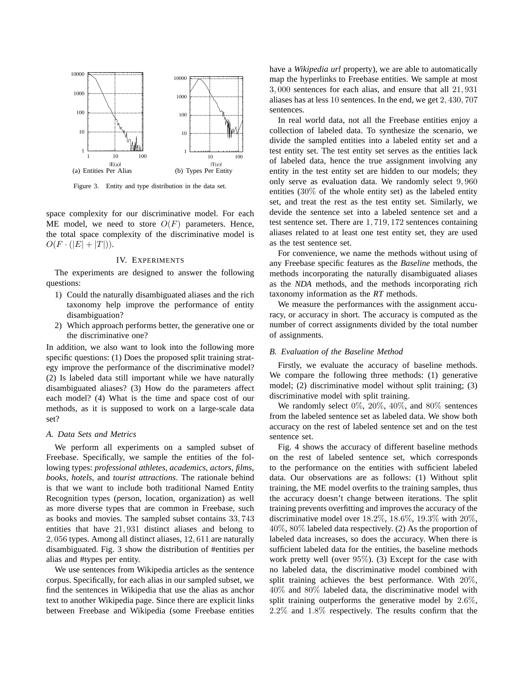

Figure 3. Entity and type distribution in the data set.

space complexity for our discriminative model. For each ME model, we need to store  $O(F)$  parameters. Hence, the total space complexity of the discriminative model is  $O(F \cdot (|E| + |T|)).$ 

## IV. EXPERIMENTS

The experiments are designed to answer the following questions:

- 1) Could the naturally disambiguated aliases and the rich taxonomy help improve the performance of entity disambiguation?
- 2) Which approach performs better, the generative one or the discriminative one?

In addition, we also want to look into the following more specific questions: (1) Does the proposed split training strategy improve the performance of the discriminative model? (2) Is labeled data still important while we have naturally disambiguated aliases? (3) How do the parameters affect each model? (4) What is the time and space cost of our methods, as it is supposed to work on a large-scale data set?

#### *A. Data Sets and Metrics*

We perform all experiments on a sampled subset of Freebase. Specifically, we sample the entities of the following types: *professional athletes*, *academics*, *actors*, *films*, *books*, *hotels*, and *tourist attractions*. The rationale behind is that we want to include both traditional Named Entity Recognition types (person, location, organization) as well as more diverse types that are common in Freebase, such as books and movies. The sampled subset contains 33, 743 entities that have 21, 931 distinct aliases and belong to 2, 056 types. Among all distinct aliases, 12, 611 are naturally disambiguated. Fig. 3 show the distribution of #entities per alias and #types per entity.

We use sentences from Wikipedia articles as the sentence corpus. Specifically, for each alias in our sampled subset, we find the sentences in Wikipedia that use the alias as anchor text to another Wikipedia page. Since there are explicit links between Freebase and Wikipedia (some Freebase entities have a *Wikipedia url* property), we are able to automatically map the hyperlinks to Freebase entities. We sample at most 3, 000 sentences for each alias, and ensure that all 21, 931 aliases has at less 10 sentences. In the end, we get 2, 430, 707 sentences.

In real world data, not all the Freebase entities enjoy a collection of labeled data. To synthesize the scenario, we divide the sampled entities into a labeled entity set and a test entity set. The test entity set serves as the entities lack of labeled data, hence the true assignment involving any entity in the test entity set are hidden to our models; they only serve as evaluation data. We randomly select 9, 960 entities (30% of the whole entity set) as the labeled entity set, and treat the rest as the test entity set. Similarly, we devide the sentence set into a labeled sentence set and a test sentence set. There are 1, 719, 172 sentences containing aliases related to at least one test entity set, they are used as the test sentence set.

For convenience, we name the methods without using of any Freebase specific features as the *Baseline* methods, the methods incorporating the naturally disambiguated aliases as the *NDA* methods, and the methods incorporating rich taxonomy information as the *RT* methods.

We measure the performances with the assignment accuracy, or accuracy in short. The accuracy is computed as the number of correct assignments divided by the total number of assignments.

# *B. Evaluation of the Baseline Method*

Firstly, we evaluate the accuracy of baseline methods. We compare the following three methods: (1) generative model; (2) discriminative model without split training; (3) discriminative model with split training.

We randomly select  $0\%, 20\%, 40\%,$  and  $80\%$  sentences from the labeled sentence set as labeled data. We show both accuracy on the rest of labeled sentence set and on the test sentence set.

Fig. 4 shows the accuracy of different baseline methods on the rest of labeled sentence set, which corresponds to the performance on the entities with sufficient labeled data. Our observations are as follows: (1) Without split training, the ME model overfits to the training samples, thus the accuracy doesn't change between iterations. The split training prevents overfitting and improves the accuracy of the discriminative model over 18.2%, 18.6%, 19.3% with 20%, 40%, 80% labeled data respectively. (2) As the proportion of labeled data increases, so does the accuracy. When there is sufficient labeled data for the entities, the baseline methods work pretty well (over 95%). (3) Except for the case with no labeled data, the discriminative model combined with split training achieves the best performance. With 20%, 40% and 80% labeled data, the discriminative model with split training outperforms the generative model by 2.6%, 2.2% and 1.8% respectively. The results confirm that the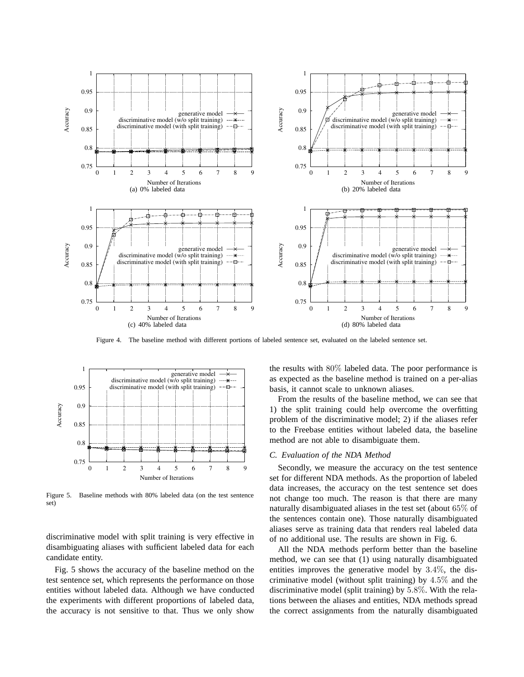

Figure 4. The baseline method with different portions of labeled sentence set, evaluated on the labeled sentence set.



Figure 5. Baseline methods with 80% labeled data (on the test sentence set)

discriminative model with split training is very effective in disambiguating aliases with sufficient labeled data for each candidate entity.

Fig. 5 shows the accuracy of the baseline method on the test sentence set, which represents the performance on those entities without labeled data. Although we have conducted the experiments with different proportions of labeled data, the accuracy is not sensitive to that. Thus we only show the results with 80% labeled data. The poor performance is as expected as the baseline method is trained on a per-alias basis, it cannot scale to unknown aliases.

From the results of the baseline method, we can see that 1) the split training could help overcome the overfitting problem of the discriminative model; 2) if the aliases refer to the Freebase entities without labeled data, the baseline method are not able to disambiguate them.

## *C. Evaluation of the NDA Method*

Secondly, we measure the accuracy on the test sentence set for different NDA methods. As the proportion of labeled data increases, the accuracy on the test sentence set does not change too much. The reason is that there are many naturally disambiguated aliases in the test set (about 65% of the sentences contain one). Those naturally disambiguated aliases serve as training data that renders real labeled data of no additional use. The results are shown in Fig. 6.

All the NDA methods perform better than the baseline method, we can see that (1) using naturally disambiguated entities improves the generative model by 3.4%, the discriminative model (without split training) by 4.5% and the discriminative model (split training) by 5.8%. With the relations between the aliases and entities, NDA methods spread the correct assignments from the naturally disambiguated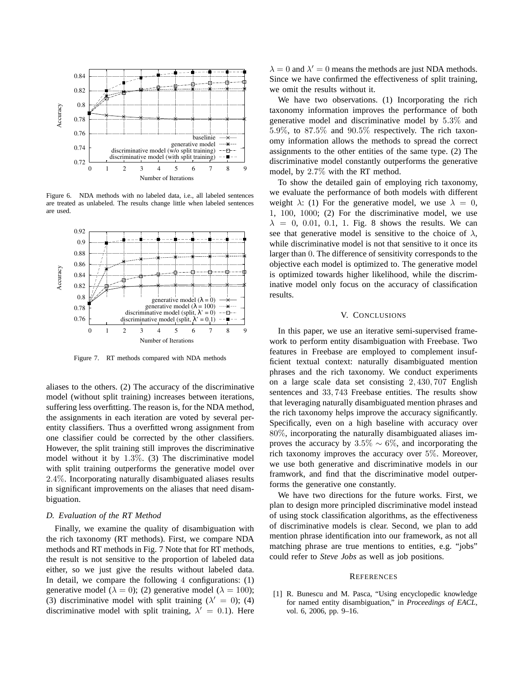

Figure 6. NDA methods with no labeled data, i.e., all labeled sentences are treated as unlabeled. The results change little when labeled sentences are used.



Figure 7. RT methods compared with NDA methods

aliases to the others. (2) The accuracy of the discriminative model (without split training) increases between iterations, suffering less overfitting. The reason is, for the NDA method, the assignments in each iteration are voted by several perentity classifiers. Thus a overfitted wrong assignment from one classifier could be corrected by the other classifiers. However, the split training still improves the discriminative model without it by 1.3%. (3) The discriminative model with split training outperforms the generative model over 2.4%. Incorporating naturally disambiguated aliases results in significant improvements on the aliases that need disambiguation.

## *D. Evaluation of the RT Method*

Finally, we examine the quality of disambiguation with the rich taxonomy (RT methods). First, we compare NDA methods and RT methods in Fig. 7 Note that for RT methods, the result is not sensitive to the proportion of labeled data either, so we just give the results without labeled data. In detail, we compare the following  $4$  configurations:  $(1)$ generative model ( $\lambda = 0$ ); (2) generative model ( $\lambda = 100$ ); (3) discriminative model with split training ( $\lambda' = 0$ ); (4) discriminative model with split training,  $\lambda' = 0.1$ ). Here

 $\lambda = 0$  and  $\lambda' = 0$  means the methods are just NDA methods. Since we have confirmed the effectiveness of split training, we omit the results without it.

We have two observations. (1) Incorporating the rich taxonomy information improves the performance of both generative model and discriminative model by 5.3% and 5.9%, to 87.5% and 90.5% respectively. The rich taxonomy information allows the methods to spread the correct assignments to the other entities of the same type. (2) The discriminative model constantly outperforms the generative model, by 2.7% with the RT method.

To show the detailed gain of employing rich taxonomy, we evaluate the performance of both models with different weight  $\lambda$ : (1) For the generative model, we use  $\lambda = 0$ , 1, 100, 1000; (2) For the discriminative model, we use  $\lambda = 0, 0.01, 0.1, 1$ . Fig. 8 shows the results. We can see that generative model is sensitive to the choice of  $\lambda$ , while discriminative model is not that sensitive to it once its larger than 0. The difference of sensitivity corresponds to the objective each model is optimized to. The generative model is optimized towards higher likelihood, while the discriminative model only focus on the accuracy of classification results.

# V. CONCLUSIONS

In this paper, we use an iterative semi-supervised framework to perform entity disambiguation with Freebase. Two features in Freebase are employed to complement insufficient textual context: naturally disambiguated mention phrases and the rich taxonomy. We conduct experiments on a large scale data set consisting 2, 430, 707 English sentences and 33, 743 Freebase entities. The results show that leveraging naturally disambiguated mention phrases and the rich taxonomy helps improve the accuracy significantly. Specifically, even on a high baseline with accuracy over 80%, incorporating the naturally disambiguated aliases improves the accuracy by 3.5%  $\sim$  6%, and incorporating the rich taxonomy improves the accuracy over 5%. Moreover, we use both generative and discriminative models in our framwork, and find that the discriminative model outperforms the generative one constantly.

We have two directions for the future works. First, we plan to design more principled discriminative model instead of using stock classification algorithms, as the effectiveness of discriminative models is clear. Second, we plan to add mention phrase identification into our framework, as not all matching phrase are true mentions to entities, e.g. "jobs" could refer to *Steve Jobs* as well as job positions.

#### **REFERENCES**

[1] R. Bunescu and M. Pasca, "Using encyclopedic knowledge for named entity disambiguation," in *Proceedings of EACL*, vol. 6, 2006, pp. 9–16.